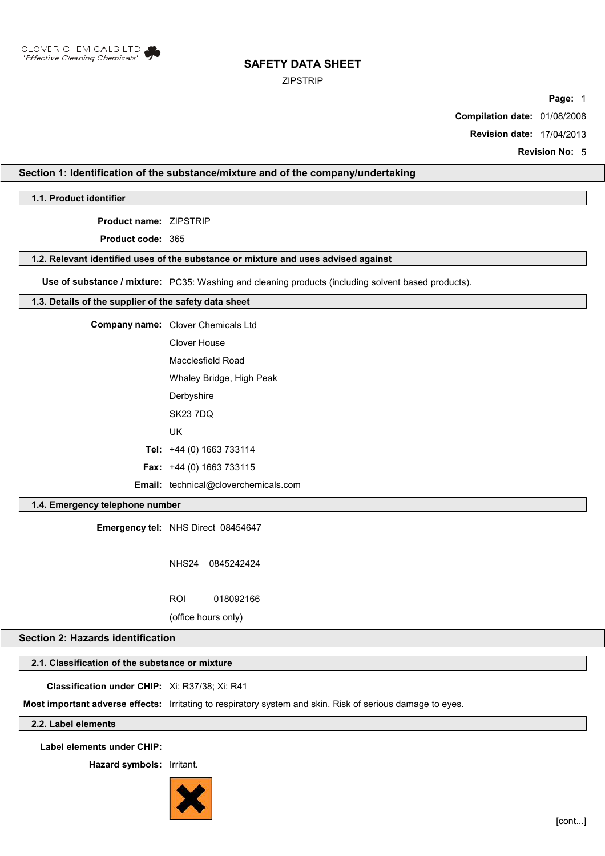

### ZIPSTRIP

**Page:** 1

**Compilation date:** 01/08/2008

**Revision date:** 17/04/2013

**Revision No:** 5

# **Section 1: Identification of the substance/mixture and of the company/undertaking**

**1.1. Product identifier**

**Product name:** ZIPSTRIP

**Product code:** 365

### **1.2. Relevant identified uses of the substance or mixture and uses advised against**

**Use of substance / mixture:** PC35: Washing and cleaning products (including solvent based products).

### **1.3. Details of the supplier of the safety data sheet**

| <b>Company name:</b> Clover Chemicals Ltd   |
|---------------------------------------------|
| Clover House                                |
| Macclesfield Road                           |
| Whaley Bridge, High Peak                    |
| Derbyshire                                  |
| <b>SK23 7DQ</b>                             |
| UK                                          |
| Tel: $+44$ (0) 1663 733114                  |
| <b>Fax:</b> $+44$ (0) 1663 733115           |
| <b>Email:</b> technical@cloverchemicals.com |

### **1.4. Emergency telephone number**

**Emergency tel:** NHS Direct 08454647

NHS24 0845242424 ROI 018092166

(office hours only)

# **Section 2: Hazards identification**

# **2.1. Classification of the substance or mixture**

**Classification under CHIP:** Xi: R37/38; Xi: R41

**Most important adverse effects:** Irritating to respiratory system and skin. Risk of serious damage to eyes.

# **2.2. Label elements**

**Label elements under CHIP:**

**Hazard symbols:** Irritant.

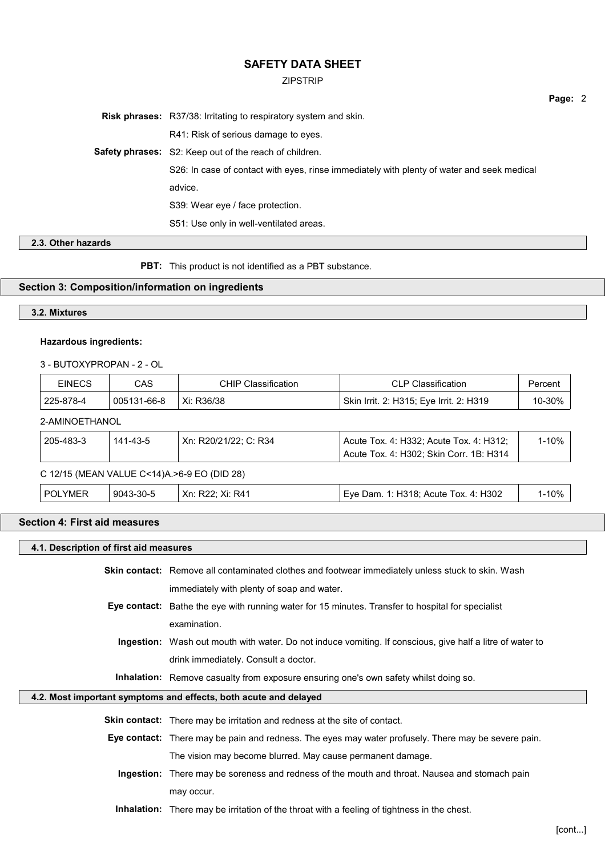#### ZIPSTRIP

**Risk phrases:** R37/38: Irritating to respiratory system and skin. R41: Risk of serious damage to eyes. **Safety phrases:** S2: Keep out of the reach of children. S26: In case of contact with eyes, rinse immediately with plenty of water and seek medical advice. S39: Wear eye / face protection. S51: Use only in well-ventilated areas.

**2.3. Other hazards**

**PBT:** This product is not identified as a PBT substance.

### **Section 3: Composition/information on ingredients**

## **3.2. Mixtures**

#### **Hazardous ingredients:**

3 - BUTOXYPROPAN - 2 - OL

| <b>EINECS</b>  | <b>CAS</b>                                    | <b>CHIP Classification</b> | <b>CLP Classification</b>                                                          | Percent   |
|----------------|-----------------------------------------------|----------------------------|------------------------------------------------------------------------------------|-----------|
| 225-878-4      | 005131-66-8                                   | Xi: R36/38                 | Skin Irrit. 2: H315; Eye Irrit. 2: H319                                            | 10-30%    |
| 2-AMINOETHANOL |                                               |                            |                                                                                    |           |
| 205-483-3      | 141-43-5                                      | Xn: R20/21/22: C: R34      | Acute Tox. 4: H332; Acute Tox. 4: H312;<br>Acute Tox. 4: H302; Skin Corr. 1B: H314 | $1 - 10%$ |
|                | C 12/15 (MEAN VALUE C<14)A. > 6-9 EO (DID 28) |                            |                                                                                    |           |
| <b>POLYMER</b> | 9043-30-5                                     | Xn: R22; Xi: R41           | Eye Dam. 1: H318; Acute Tox. 4: H302                                               | $1 - 10%$ |

## **Section 4: First aid measures**

#### **4.1. Description of first aid measures**

**Skin contact:** Remove all contaminated clothes and footwear immediately unless stuck to skin. Wash immediately with plenty of soap and water.

**Eye contact:** Bathe the eye with running water for 15 minutes. Transfer to hospital for specialist examination.

**Ingestion:** Wash out mouth with water. Do not induce vomiting. If conscious, give half a litre of water to drink immediately. Consult a doctor.

**Inhalation:** Remove casualty from exposure ensuring one's own safety whilst doing so.

### **4.2. Most important symptoms and effects, both acute and delayed**

**Skin contact:** There may be irritation and redness at the site of contact.

- **Eye contact:** There may be pain and redness. The eyes may water profusely. There may be severe pain. The vision may become blurred. May cause permanent damage.
	- **Ingestion:** There may be soreness and redness of the mouth and throat. Nausea and stomach pain may occur.

**Inhalation:** There may be irritation of the throat with a feeling of tightness in the chest.

**Page:** 2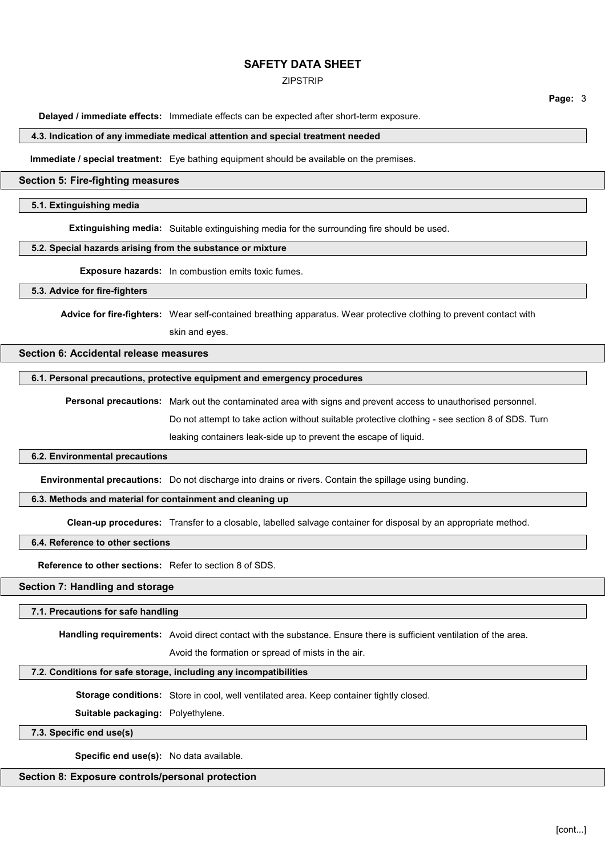### ZIPSTRIP

**Page:** 3

**Delayed / immediate effects:** Immediate effects can be expected after short-term exposure.

#### **4.3. Indication of any immediate medical attention and special treatment needed**

**Immediate / special treatment:** Eye bathing equipment should be available on the premises.

#### **Section 5: Fire-fighting measures**

### **5.1. Extinguishing media**

**Extinguishing media:** Suitable extinguishing media for the surrounding fire should be used.

#### **5.2. Special hazards arising from the substance or mixture**

**Exposure hazards:** In combustion emits toxic fumes.

#### **5.3. Advice for fire-fighters**

Advice for fire-fighters: Wear self-contained breathing apparatus. Wear protective clothing to prevent contact with skin and eyes.

# **Section 6: Accidental release measures**

#### **6.1. Personal precautions, protective equipment and emergency procedures**

**Personal precautions:** Mark out the contaminated area with signs and prevent access to unauthorised personnel. Do not attempt to take action without suitable protective clothing - see section 8 of SDS. Turn leaking containers leak-side up to prevent the escape of liquid.

#### **6.2. Environmental precautions**

**Environmental precautions:** Do not discharge into drains or rivers. Contain the spillage using bunding.

### **6.3. Methods and material for containment and cleaning up**

**Clean-up procedures:** Transfer to a closable, labelled salvage container for disposal by an appropriate method.

### **6.4. Reference to other sections**

**Reference to other sections:** Refer to section 8 of SDS.

## **Section 7: Handling and storage**

#### **7.1. Precautions for safe handling**

**Handling requirements:** Avoid direct contact with the substance. Ensure there is sufficient ventilation of the area.

Avoid the formation or spread of mists in the air.

# **7.2. Conditions for safe storage, including any incompatibilities**

**Storage conditions:** Store in cool, well ventilated area. Keep container tightly closed.

#### **Suitable packaging:** Polyethylene.

**7.3. Specific end use(s)**

**Specific end use(s):** No data available.

### **Section 8: Exposure controls/personal protection**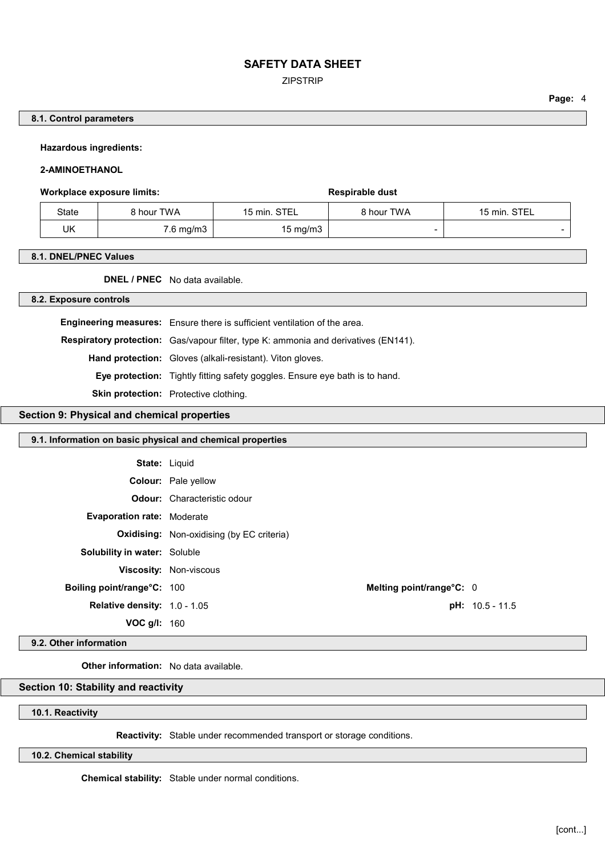ZIPSTRIP

**Page:** 4

## **8.1. Control parameters**

**Hazardous ingredients:**

### **2-AMINOETHANOL**

### Workplace exposure limits: **Workplace exposure limits:** Respirable dust

| State | 8 hour TWA | 15 min. STEL | 8 hour TWA | 15 min. STEL |
|-------|------------|--------------|------------|--------------|
| UK    | 7.6 mg/m3  | 15 mg/m3     |            |              |

#### **8.1. DNEL/PNEC Values**

**DNEL / PNEC** No data available.

### **8.2. Exposure controls**

| <b>Engineering measures:</b> Ensure there is sufficient ventilation of the area.           |
|--------------------------------------------------------------------------------------------|
| <b>Respiratory protection:</b> Gas/vapour filter, type K: ammonia and derivatives (EN141). |
| <b>Hand protection:</b> Gloves (alkali-resistant). Viton gloves.                           |
| <b>Eye protection:</b> Tightly fitting safety goggles. Ensure eye bath is to hand.         |
| <b>Skin protection:</b> Protective clothing.                                               |

### **Section 9: Physical and chemical properties**

# **9.1. Information on basic physical and chemical properties**

| <b>State: Liquid</b>                |                                                  |                          |                   |  |
|-------------------------------------|--------------------------------------------------|--------------------------|-------------------|--|
|                                     | <b>Colour:</b> Pale yellow                       |                          |                   |  |
|                                     | <b>Odour:</b> Characteristic odour               |                          |                   |  |
| <b>Evaporation rate: Moderate</b>   |                                                  |                          |                   |  |
|                                     | <b>Oxidising:</b> Non-oxidising (by EC criteria) |                          |                   |  |
| <b>Solubility in water: Soluble</b> |                                                  |                          |                   |  |
|                                     | Viscosity: Non-viscous                           |                          |                   |  |
| Boiling point/range°C: 100          |                                                  | Melting point/range°C: 0 |                   |  |
| Relative density: 1.0 - 1.05        |                                                  |                          | $pH: 10.5 - 11.5$ |  |
| VOC $g/l: 160$                      |                                                  |                          |                   |  |
|                                     |                                                  |                          |                   |  |

## **9.2. Other information**

**Other information:** No data available.

### **Section 10: Stability and reactivity**

#### **10.1. Reactivity**

**Reactivity:** Stable under recommended transport or storage conditions.

**10.2. Chemical stability**

**Chemical stability:** Stable under normal conditions.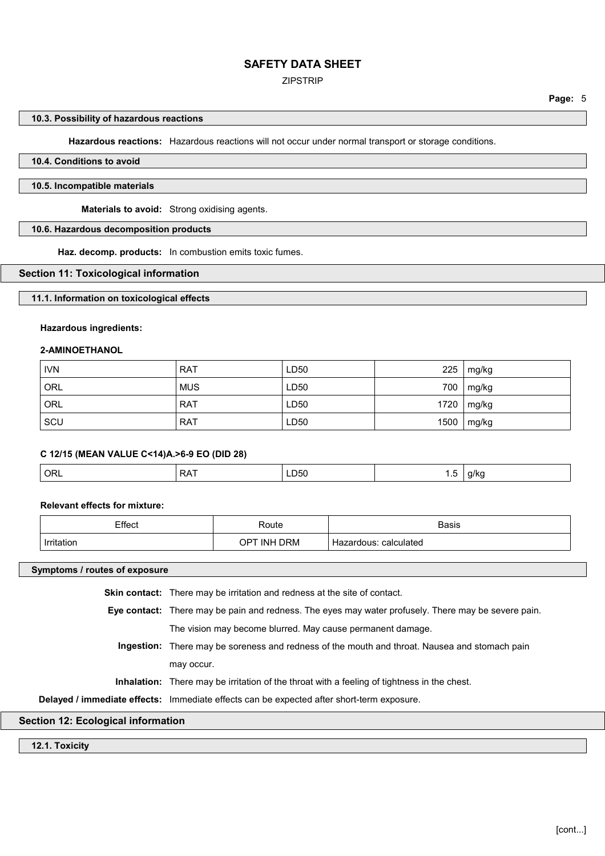### ZIPSTRIP

#### **10.3. Possibility of hazardous reactions**

**Hazardous reactions:** Hazardous reactions will not occur under normal transport or storage conditions.

# **10.4. Conditions to avoid**

# **10.5. Incompatible materials**

**Materials to avoid:** Strong oxidising agents.

# **10.6. Hazardous decomposition products**

**Haz. decomp. products:** In combustion emits toxic fumes.

# **Section 11: Toxicological information**

### **11.1. Information on toxicological effects**

### **Hazardous ingredients:**

#### **2-AMINOETHANOL**

| <b>IVN</b> | <b>RAT</b> | LD50             | 225  | mg/kg |
|------------|------------|------------------|------|-------|
| ORL        | <b>MUS</b> | LD50             | 700  | mg/kg |
| ORL        | <b>RAT</b> | LD50             | 1720 | mg/kg |
| SCU        | <b>RAT</b> | LD <sub>50</sub> | 1500 | mg/kg |

### **C 12/15 (MEAN VALUE C<14)A.>6-9 EO (DID 28)**

| <sup>'</sup> ORL<br>DAT<br>⊺LD50<br>$\Delta$ . | ن. ا | a/ko<br>. |
|------------------------------------------------|------|-----------|
|------------------------------------------------|------|-----------|

### **Relevant effects for mixture:**

| Effect     | Route                    | <b>Basis</b>             |
|------------|--------------------------|--------------------------|
| Irritation | <b>INH DRM</b><br>$OP^+$ | calculated<br>Hazardous: |

**Symptoms / routes of exposure**

| Section 12: Ecological information |                                                                                                      |
|------------------------------------|------------------------------------------------------------------------------------------------------|
|                                    | Delayed / immediate effects: Immediate effects can be expected after short-term exposure.            |
|                                    | <b>Inhalation:</b> There may be irritation of the throat with a feeling of tightness in the chest.   |
|                                    | may occur.                                                                                           |
|                                    | <b>Ingestion:</b> There may be soreness and redness of the mouth and throat. Nausea and stomach pain |
|                                    | The vision may become blurred. May cause permanent damage.                                           |
|                                    | Eye contact: There may be pain and redness. The eyes may water profusely. There may be severe pain.  |
|                                    | <b>Skin contact:</b> There may be irritation and redness at the site of contact.                     |

**12.1. Toxicity**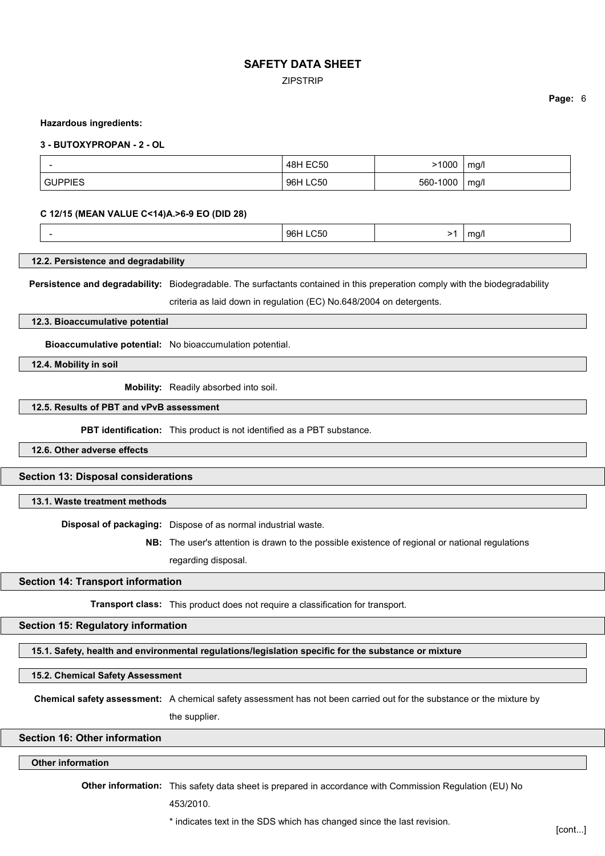ZIPSTRIP

#### **Hazardous ingredients:**

#### **3 - BUTOXYPROPAN - 2 - OL**

|             | <b>48H EC50</b>    | 1000            | mg/l |
|-------------|--------------------|-----------------|------|
| <b>THIF</b> | <b>LC50</b><br>96H | 1000<br>$560 -$ | mg/l |

#### **C 12/15 (MEAN VALUE C<14)A.>6-9 EO (DID 28)**

|--|

### **12.2. Persistence and degradability**

**Persistence and degradability:** Biodegradable. The surfactants contained in this preperation comply with the biodegradability

criteria as laid down in regulation (EC) No.648/2004 on detergents.

#### **12.3. Bioaccumulative potential**

**Bioaccumulative potential:** No bioaccumulation potential.

**12.4. Mobility in soil**

**Mobility:** Readily absorbed into soil.

### **12.5. Results of PBT and vPvB assessment**

**PBT identification:** This product is not identified as a PBT substance.

**12.6. Other adverse effects**

### **Section 13: Disposal considerations**

#### **13.1. Waste treatment methods**

**Disposal of packaging:** Dispose of as normal industrial waste.

**NB:** The user's attention is drawn to the possible existence of regional or national regulations regarding disposal.

#### **Section 14: Transport information**

**Transport class:** This product does not require a classification for transport.

#### **Section 15: Regulatory information**

**15.1. Safety, health and environmental regulations/legislation specific for the substance or mixture**

**15.2. Chemical Safety Assessment**

**Chemical safety assessment:** A chemical safety assessment has not been carried out for the substance or the mixture by

the supplier.

## **Section 16: Other information**

#### **Other information**

**Other information:** This safety data sheet is prepared in accordance with Commission Regulation (EU) No 453/2010.

\* indicates text in the SDS which has changed since the last revision. [cont...]

**Page:** 6